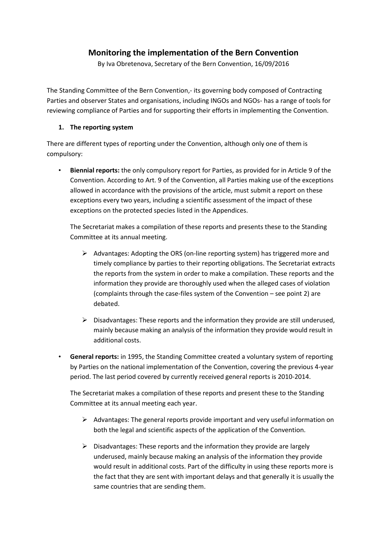## **Monitoring the implementation of the Bern Convention**

By Iva Obretenova, Secretary of the Bern Convention, 16/09/2016

The Standing Committee of the Bern Convention,- its governing body composed of Contracting Parties and observer States and organisations, including INGOs and NGOs- has a range of tools for reviewing compliance of Parties and for supporting their efforts in implementing the Convention.

## **1. The reporting system**

There are different types of reporting under the Convention, although only one of them is compulsory:

• **Biennial reports:** the only compulsory report for Parties, as provided for in Article 9 of the Convention. According to Art. 9 of the Convention, all Parties making use of the exceptions allowed in accordance with the provisions of the article, must submit a report on these exceptions every two years, including a scientific assessment of the impact of these exceptions on the protected species listed in the Appendices.

The Secretariat makes a compilation of these reports and presents these to the Standing Committee at its annual meeting.

- $\triangleright$  Advantages: Adopting the ORS (on-line reporting system) has triggered more and timely compliance by parties to their reporting obligations. The Secretariat extracts the reports from the system in order to make a compilation. These reports and the information they provide are thoroughly used when the alleged cases of violation (complaints through the case-files system of the Convention – see point 2) are debated.
- $\triangleright$  Disadvantages: These reports and the information they provide are still underused, mainly because making an analysis of the information they provide would result in additional costs.
- **General reports:** in 1995, the Standing Committee created a voluntary system of reporting by Parties on the national implementation of the Convention, covering the previous 4-year period. The last period covered by currently received general reports is 2010-2014.

The Secretariat makes a compilation of these reports and present these to the Standing Committee at its annual meeting each year.

- $\triangleright$  Advantages: The general reports provide important and very useful information on both the legal and scientific aspects of the application of the Convention.
- $\triangleright$  Disadvantages: These reports and the information they provide are largely underused, mainly because making an analysis of the information they provide would result in additional costs. Part of the difficulty in using these reports more is the fact that they are sent with important delays and that generally it is usually the same countries that are sending them.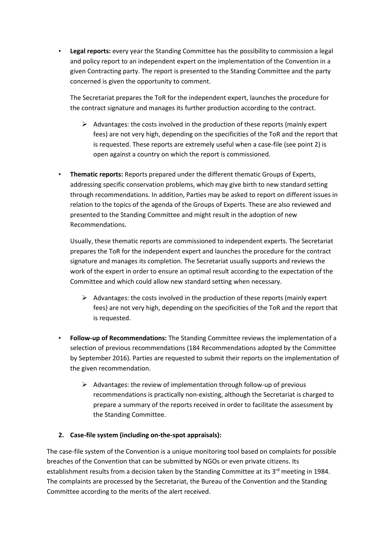• **Legal reports:** every year the Standing Committee has the possibility to commission a legal and policy report to an independent expert on the implementation of the Convention in a given Contracting party. The report is presented to the Standing Committee and the party concerned is given the opportunity to comment.

The Secretariat prepares the ToR for the independent expert, launches the procedure for the contract signature and manages its further production according to the contract.

- $\triangleright$  Advantages: the costs involved in the production of these reports (mainly expert fees) are not very high, depending on the specificities of the ToR and the report that is requested. These reports are extremely useful when a case-file (see point 2) is open against a country on which the report is commissioned.
- **Thematic reports:** Reports prepared under the different thematic Groups of Experts, addressing specific conservation problems, which may give birth to new standard setting through recommendations. In addition, Parties may be asked to report on different issues in relation to the topics of the agenda of the Groups of Experts. These are also reviewed and presented to the Standing Committee and might result in the adoption of new Recommendations.

Usually, these thematic reports are commissioned to independent experts. The Secretariat prepares the ToR for the independent expert and launches the procedure for the contract signature and manages its completion. The Secretariat usually supports and reviews the work of the expert in order to ensure an optimal result according to the expectation of the Committee and which could allow new standard setting when necessary.

- $\triangleright$  Advantages: the costs involved in the production of these reports (mainly expert fees) are not very high, depending on the specificities of the ToR and the report that is requested.
- **Follow-up of Recommendations:** The Standing Committee reviews the implementation of a selection of previous recommendations (184 Recommendations adopted by the Committee by September 2016). Parties are requested to submit their reports on the implementation of the given recommendation.
	- $\triangleright$  Advantages: the review of implementation through follow-up of previous recommendations is practically non-existing, although the Secretariat is charged to prepare a summary of the reports received in order to facilitate the assessment by the Standing Committee.

## **2. Case-file system (including on-the-spot appraisals):**

The case-file system of the Convention is a unique monitoring tool based on complaints for possible breaches of the Convention that can be submitted by NGOs or even private citizens. Its establishment results from a decision taken by the Standing Committee at its 3<sup>rd</sup> meeting in 1984. The complaints are processed by the Secretariat, the Bureau of the Convention and the Standing Committee according to the merits of the alert received.